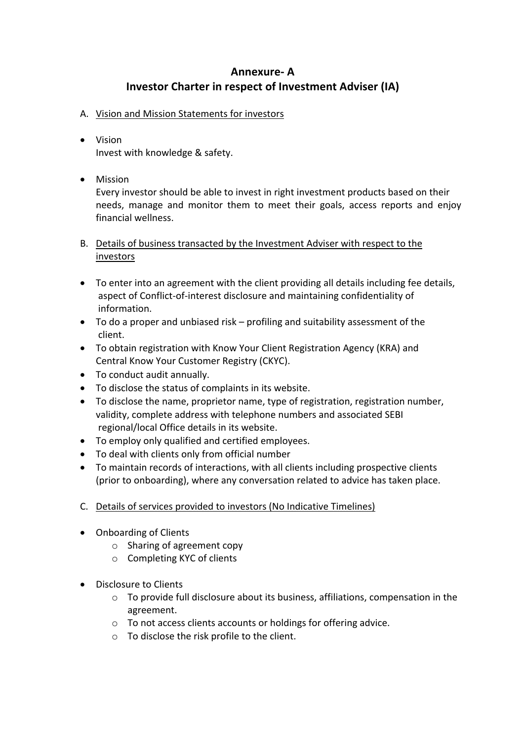## **Annexure- A Investor Charter in respect of Investment Adviser (IA)**

- A. Vision and Mission Statements for investors
- Vision Invest with knowledge & safety.
- Mission

Every investor should be able to invest in right investment products based on their needs, manage and monitor them to meet their goals, access reports and enjoy financial wellness.

- B. Details of business transacted by the Investment Adviser with respect to the investors
- To enter into an agreement with the client providing all details including fee details, aspect of Conflict-of-interest disclosure and maintaining confidentiality of information.
- To do a proper and unbiased risk profiling and suitability assessment of the client.
- To obtain registration with Know Your Client Registration Agency (KRA) and Central Know Your Customer Registry (CKYC).
- To conduct audit annually.
- To disclose the status of complaints in its website.
- To disclose the name, proprietor name, type of registration, registration number, validity, complete address with telephone numbers and associated SEBI regional/local Office details in its website.
- To employ only qualified and certified employees.
- To deal with clients only from official number
- To maintain records of interactions, with all clients including prospective clients (prior to onboarding), where any conversation related to advice has taken place.
- C. Details of services provided to investors (No Indicative Timelines)
- Onboarding of Clients
	- o Sharing of agreement copy
	- o Completing KYC of clients
- Disclosure to Clients
	- $\circ$  To provide full disclosure about its business, affiliations, compensation in the agreement.
	- o To not access clients accounts or holdings for offering advice.
	- o To disclose the risk profile to the client.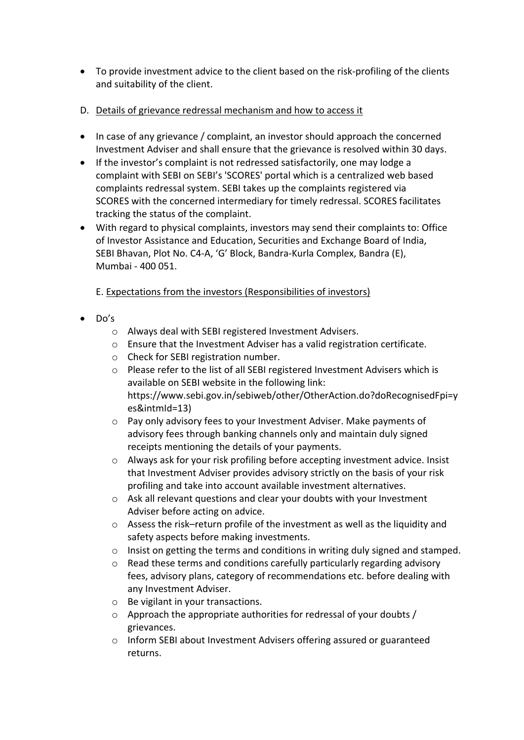- To provide investment advice to the client based on the risk-profiling of the clients and suitability of the client.
- D. Details of grievance redressal mechanism and how to access it
- In case of any grievance / complaint, an investor should approach the concerned Investment Adviser and shall ensure that the grievance is resolved within 30 days.
- If the investor's complaint is not redressed satisfactorily, one may lodge a complaint with SEBI on SEBI's 'SCORES' portal which is a centralized web based complaints redressal system. SEBI takes up the complaints registered via SCORES with the concerned intermediary for timely redressal. SCORES facilitates tracking the status of the complaint.
- With regard to physical complaints, investors may send their complaints to: Office of Investor Assistance and Education, Securities and Exchange Board of India, SEBI Bhavan, Plot No. C4-A, 'G' Block, Bandra-Kurla Complex, Bandra (E), Mumbai - 400 051.

## E. Expectations from the investors (Responsibilities of investors)

- Do's
	- o Always deal with SEBI registered Investment Advisers.
	- o Ensure that the Investment Adviser has a valid registration certificate.
	- o Check for SEBI registration number.
	- o Please refer to the list of all SEBI registered Investment Advisers which is available on SEBI website in the following link: https://www.sebi.gov.in/sebiweb/other/OtherAction.do?doRecognisedFpi=y es&intmId=13)
	- o Pay only advisory fees to your Investment Adviser. Make payments of advisory fees through banking channels only and maintain duly signed receipts mentioning the details of your payments.
	- o Always ask for your risk profiling before accepting investment advice. Insist that Investment Adviser provides advisory strictly on the basis of your risk profiling and take into account available investment alternatives.
	- o Ask all relevant questions and clear your doubts with your Investment Adviser before acting on advice.
	- $\circ$  Assess the risk–return profile of the investment as well as the liquidity and safety aspects before making investments.
	- $\circ$  Insist on getting the terms and conditions in writing duly signed and stamped.
	- $\circ$  Read these terms and conditions carefully particularly regarding advisory fees, advisory plans, category of recommendations etc. before dealing with any Investment Adviser.
	- o Be vigilant in your transactions.
	- o Approach the appropriate authorities for redressal of your doubts / grievances.
	- o Inform SEBI about Investment Advisers offering assured or guaranteed returns.